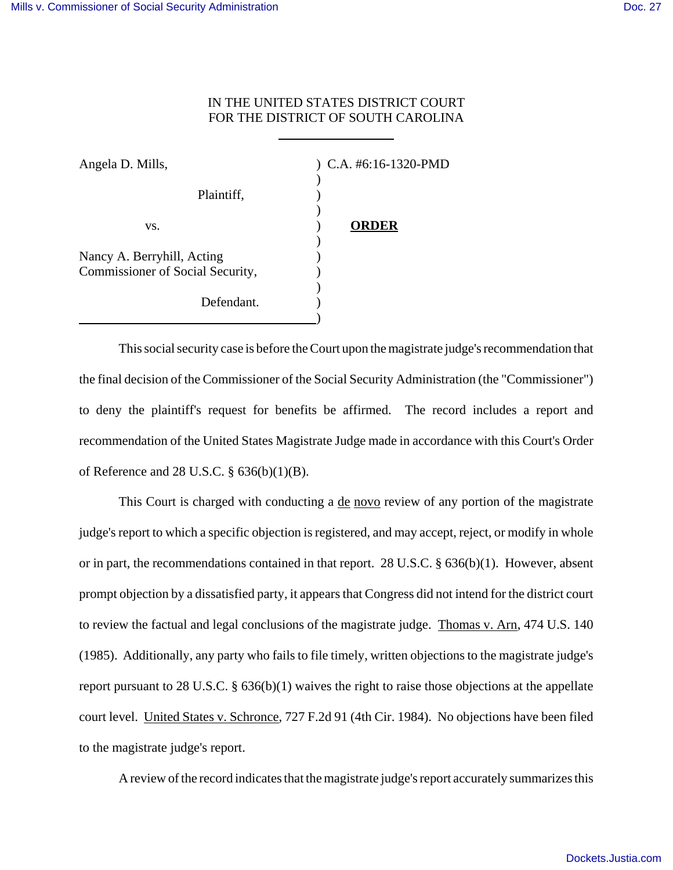## IN THE UNITED STATES DISTRICT COURT FOR THE DISTRICT OF SOUTH CAROLINA

| Angela D. Mills,                                               | $)$ C.A. #6:16-1320-PMD |
|----------------------------------------------------------------|-------------------------|
| Plaintiff,                                                     |                         |
| VS.                                                            | <b>ORDER</b>            |
| Nancy A. Berryhill, Acting<br>Commissioner of Social Security, |                         |
| Defendant.                                                     |                         |

 $\overline{a}$ 

This social security case is before the Court upon the magistrate judge's recommendation that the final decision of the Commissioner of the Social Security Administration (the "Commissioner") to deny the plaintiff's request for benefits be affirmed. The record includes a report and recommendation of the United States Magistrate Judge made in accordance with this Court's Order of Reference and 28 U.S.C. § 636(b)(1)(B).

This Court is charged with conducting a de novo review of any portion of the magistrate judge's report to which a specific objection is registered, and may accept, reject, or modify in whole or in part, the recommendations contained in that report. 28 U.S.C. § 636(b)(1). However, absent prompt objection by a dissatisfied party, it appears that Congress did not intend for the district court to review the factual and legal conclusions of the magistrate judge. Thomas v. Arn, 474 U.S. 140 (1985). Additionally, any party who fails to file timely, written objections to the magistrate judge's report pursuant to 28 U.S.C. § 636(b)(1) waives the right to raise those objections at the appellate court level. United States v. Schronce, 727 F.2d 91 (4th Cir. 1984). No objections have been filed to the magistrate judge's report.

A review of the record indicates that the magistrate judge's report accurately summarizes this